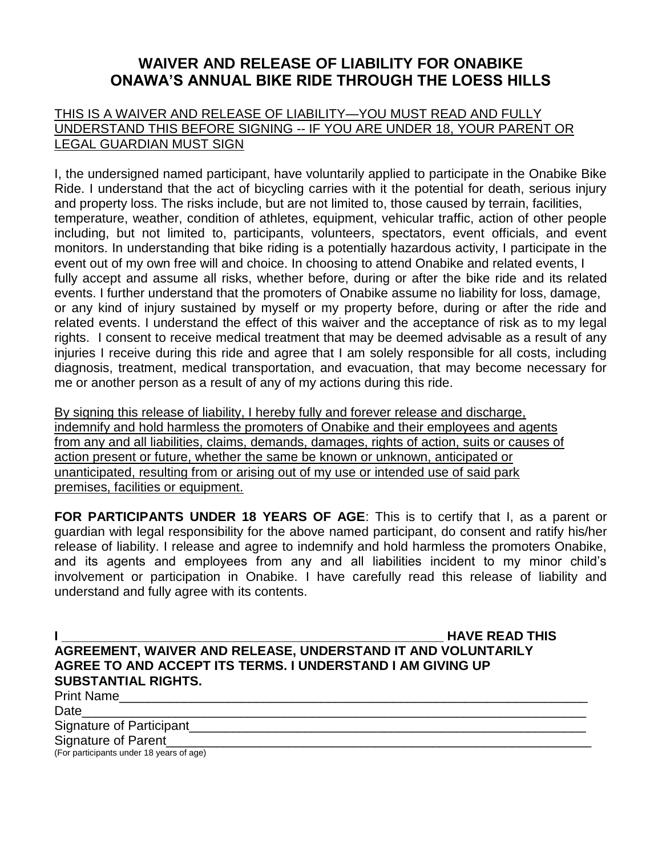## **WAIVER AND RELEASE OF LIABILITY FOR ONABIKE ONAWA'S ANNUAL BIKE RIDE THROUGH THE LOESS HILLS**

## THIS IS A WAIVER AND RELEASE OF LIABILITY—YOU MUST READ AND FULLY UNDERSTAND THIS BEFORE SIGNING -- IF YOU ARE UNDER 18, YOUR PARENT OR LEGAL GUARDIAN MUST SIGN

I, the undersigned named participant, have voluntarily applied to participate in the Onabike Bike Ride. I understand that the act of bicycling carries with it the potential for death, serious injury and property loss. The risks include, but are not limited to, those caused by terrain, facilities, temperature, weather, condition of athletes, equipment, vehicular traffic, action of other people including, but not limited to, participants, volunteers, spectators, event officials, and event monitors. In understanding that bike riding is a potentially hazardous activity, I participate in the event out of my own free will and choice. In choosing to attend Onabike and related events, I fully accept and assume all risks, whether before, during or after the bike ride and its related events. I further understand that the promoters of Onabike assume no liability for loss, damage, or any kind of injury sustained by myself or my property before, during or after the ride and related events. I understand the effect of this waiver and the acceptance of risk as to my legal rights. I consent to receive medical treatment that may be deemed advisable as a result of any injuries I receive during this ride and agree that I am solely responsible for all costs, including diagnosis, treatment, medical transportation, and evacuation, that may become necessary for me or another person as a result of any of my actions during this ride.

By signing this release of liability, I hereby fully and forever release and discharge, indemnify and hold harmless the promoters of Onabike and their employees and agents from any and all liabilities, claims, demands, damages, rights of action, suits or causes of action present or future, whether the same be known or unknown, anticipated or unanticipated, resulting from or arising out of my use or intended use of said park premises, facilities or equipment.

**FOR PARTICIPANTS UNDER 18 YEARS OF AGE**: This is to certify that I, as a parent or guardian with legal responsibility for the above named participant, do consent and ratify his/her release of liability. I release and agree to indemnify and hold harmless the promoters Onabike, and its agents and employees from any and all liabilities incident to my minor child's involvement or participation in Onabike. I have carefully read this release of liability and understand and fully agree with its contents.

**I I I EXECUTE THE EXECUTE THE EXECUTE THE EXECUTE THE EXECUTE THE EXECUTE THE EXECUTIVE SERVICE READ THIS AGREEMENT, WAIVER AND RELEASE, UNDERSTAND IT AND VOLUNTARILY AGREE TO AND ACCEPT ITS TERMS. I UNDERSTAND I AM GIVING UP SUBSTANTIAL RIGHTS.** Print Name Date\_\_\_\_\_\_\_\_\_\_\_\_\_\_\_\_\_\_\_\_\_\_\_\_\_\_\_\_\_\_\_\_\_\_\_\_\_\_\_\_\_\_\_\_\_\_\_\_\_\_\_\_\_\_\_\_\_\_\_\_\_\_\_\_\_\_\_\_\_\_ Signature of Participant

Signature of Parent

(For participants under 18 years of age)